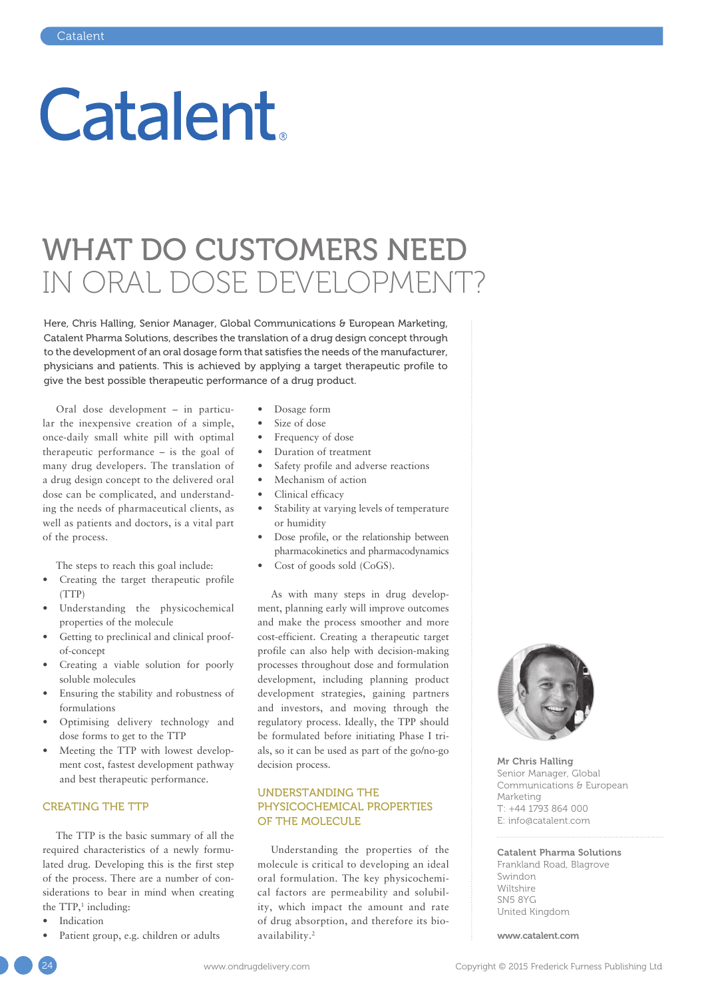# **Catalent**

# WHAT DO CUSTOMERS NEED IN ORAL DOSE DEVELOPMENT?

Here, Chris Halling, Senior Manager, Global Communications & European Marketing, Catalent Pharma Solutions, describes the translation of a drug design concept through to the development of an oral dosage form that satisfies the needs of the manufacturer, physicians and patients. This is achieved by applying a target therapeutic profile to give the best possible therapeutic performance of a drug product.

Oral dose development – in particular the inexpensive creation of a simple, once-daily small white pill with optimal therapeutic performance – is the goal of many drug developers. The translation of a drug design concept to the delivered oral dose can be complicated, and understanding the needs of pharmaceutical clients, as well as patients and doctors, is a vital part of the process.

The steps to reach this goal include:

- Creating the target therapeutic profile (TTP)
- Understanding the physicochemical properties of the molecule
- Getting to preclinical and clinical proofof-concept
- Creating a viable solution for poorly soluble molecules
- Ensuring the stability and robustness of formulations
- Optimising delivery technology and dose forms to get to the TTP
- Meeting the TTP with lowest development cost, fastest development pathway and best therapeutic performance.

#### CREATING THE TTP

The TTP is the basic summary of all the required characteristics of a newly formulated drug. Developing this is the first step of the process. There are a number of considerations to bear in mind when creating the  $TTP<sub>1</sub>$  including:

- **Indication**
- Patient group, e.g. children or adults
- Dosage form
- Size of dose
- Frequency of dose
- Duration of treatment
- Safety profile and adverse reactions
- Mechanism of action
- Clinical efficacy
- Stability at varying levels of temperature or humidity
- Dose profile, or the relationship between pharmacokinetics and pharmacodynamics
- Cost of goods sold (CoGS).

As with many steps in drug development, planning early will improve outcomes and make the process smoother and more cost-efficient. Creating a therapeutic target profile can also help with decision-making processes throughout dose and formulation development, including planning product development strategies, gaining partners and investors, and moving through the regulatory process. Ideally, the TPP should be formulated before initiating Phase I trials, so it can be used as part of the go/no-go decision process.

# UNDERSTANDING THE PHYSICOCHEMICAL PROPERTIES OF THE MOLECULE

Understanding the properties of the molecule is critical to developing an ideal oral formulation. The key physicochemical factors are permeability and solubility, which impact the amount and rate of drug absorption, and therefore its bioavailability.2



Mr Chris Halling Senior Manager, Global Communications & European Marketing T: +44 1793 864 000 E: info@catalent.com

# Catalent Pharma Solutions

Frankland Road, Blagrove Swindon Wiltshire SN5 8YG United Kingdom

www.catalent.com

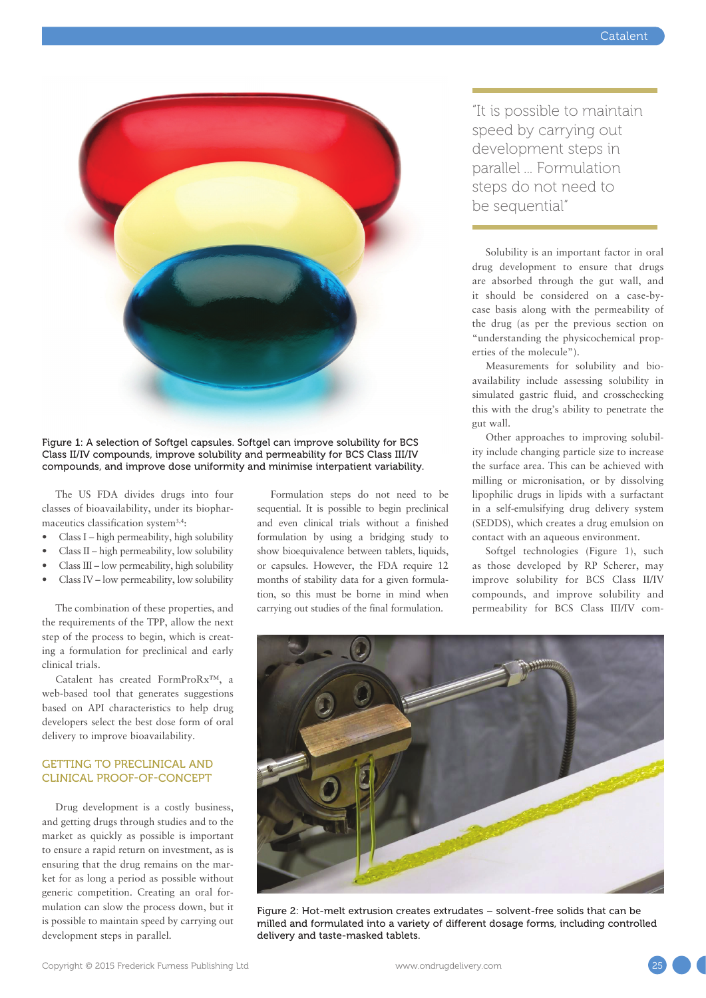

Figure 1: A selection of Softgel capsules. Softgel can improve solubility for BCS Class II/IV compounds, improve solubility and permeability for BCS Class III/IV compounds, and improve dose uniformity and minimise interpatient variability.

The US FDA divides drugs into four classes of bioavailability, under its biopharmaceutics classification system3,4:

- Class I high permeability, high solubility
- Class II high permeability, low solubility
- Class III low permeability, high solubility
- Class IV low permeability, low solubility

The combination of these properties, and the requirements of the TPP, allow the next step of the process to begin, which is creating a formulation for preclinical and early clinical trials.

Catalent has created FormProRx™, a web-based tool that generates suggestions based on API characteristics to help drug developers select the best dose form of oral delivery to improve bioavailability.

# GETTING TO PRECLINICAL AND CLINICAL PROOF-OF-CONCEPT

Drug development is a costly business, and getting drugs through studies and to the market as quickly as possible is important to ensure a rapid return on investment, as is ensuring that the drug remains on the market for as long a period as possible without generic competition. Creating an oral formulation can slow the process down, but it is possible to maintain speed by carrying out development steps in parallel.

Formulation steps do not need to be sequential. It is possible to begin preclinical and even clinical trials without a finished formulation by using a bridging study to show bioequivalence between tablets, liquids, or capsules. However, the FDA require 12 months of stability data for a given formulation, so this must be borne in mind when carrying out studies of the final formulation.

"It is possible to maintain speed by carrying out development steps in parallel ... Formulation steps do not need to be sequential"

Solubility is an important factor in oral drug development to ensure that drugs are absorbed through the gut wall, and it should be considered on a case-bycase basis along with the permeability of the drug (as per the previous section on "understanding the physicochemical properties of the molecule").

Measurements for solubility and bioavailability include assessing solubility in simulated gastric fluid, and crosschecking this with the drug's ability to penetrate the gut wall.

Other approaches to improving solubility include changing particle size to increase the surface area. This can be achieved with milling or micronisation, or by dissolving lipophilic drugs in lipids with a surfactant in a self-emulsifying drug delivery system (SEDDS), which creates a drug emulsion on contact with an aqueous environment.

Softgel technologies (Figure 1), such as those developed by RP Scherer, may improve solubility for BCS Class II/IV compounds, and improve solubility and permeability for BCS Class III/IV com-



Figure 2: Hot-melt extrusion creates extrudates – solvent-free solids that can be milled and formulated into a variety of different dosage forms, including controlled delivery and taste-masked tablets.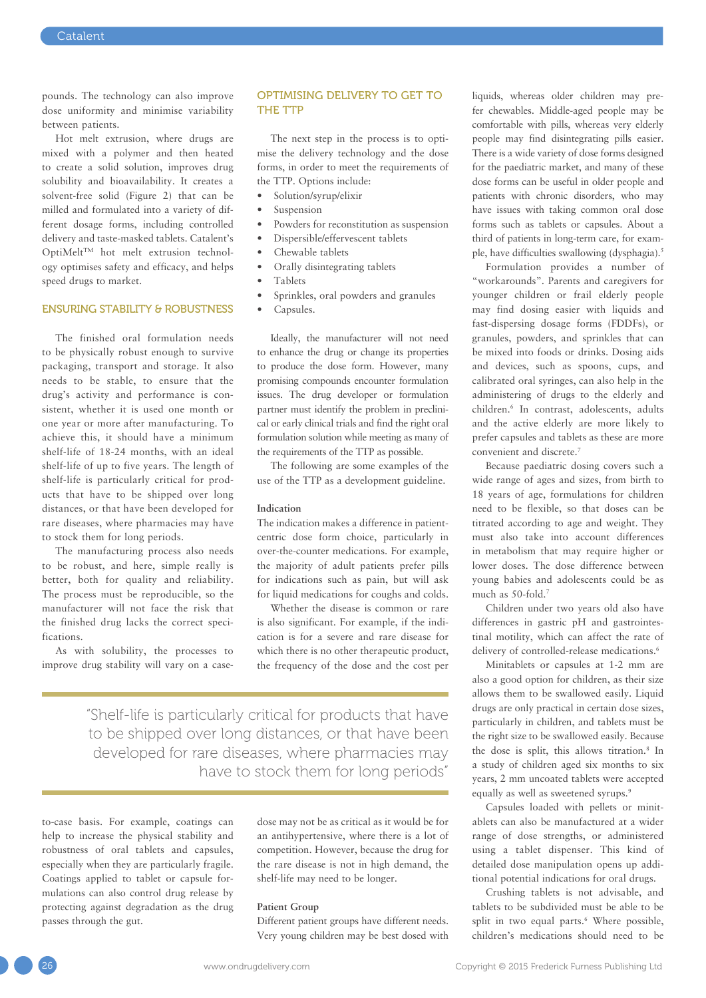pounds. The technology can also improve dose uniformity and minimise variability between patients.

Hot melt extrusion, where drugs are mixed with a polymer and then heated to create a solid solution, improves drug solubility and bioavailability. It creates a solvent-free solid (Figure 2) that can be milled and formulated into a variety of different dosage forms, including controlled delivery and taste-masked tablets. Catalent's OptiMelt<sup>TM</sup> hot melt extrusion technology optimises safety and efficacy, and helps speed drugs to market.

# ENSURING STABILITY & ROBUSTNESS

The finished oral formulation needs to be physically robust enough to survive packaging, transport and storage. It also needs to be stable, to ensure that the drug's activity and performance is consistent, whether it is used one month or one year or more after manufacturing. To achieve this, it should have a minimum shelf-life of 18-24 months, with an ideal shelf-life of up to five years. The length of shelf-life is particularly critical for products that have to be shipped over long distances, or that have been developed for rare diseases, where pharmacies may have to stock them for long periods.

The manufacturing process also needs to be robust, and here, simple really is better, both for quality and reliability. The process must be reproducible, so the manufacturer will not face the risk that the finished drug lacks the correct specifications.

As with solubility, the processes to improve drug stability will vary on a case-

#### OPTIMISING DELIVERY TO GET TO THE TTP

The next step in the process is to optimise the delivery technology and the dose forms, in order to meet the requirements of the TTP. Options include:

- Solution/syrup/elixir
- **Suspension**
- Powders for reconstitution as suspension
- Dispersible/effervescent tablets
- Chewable tablets
- Orally disintegrating tablets
- Tablets
- Sprinkles, oral powders and granules
- Capsules.

Ideally, the manufacturer will not need to enhance the drug or change its properties to produce the dose form. However, many promising compounds encounter formulation issues. The drug developer or formulation partner must identify the problem in preclinical or early clinical trials and find the right oral formulation solution while meeting as many of the requirements of the TTP as possible.

The following are some examples of the use of the TTP as a development guideline.

#### **Indication**

The indication makes a difference in patientcentric dose form choice, particularly in over-the-counter medications. For example, the majority of adult patients prefer pills for indications such as pain, but will ask for liquid medications for coughs and colds.

Whether the disease is common or rare is also significant. For example, if the indication is for a severe and rare disease for which there is no other therapeutic product, the frequency of the dose and the cost per

"Shelf-life is particularly critical for products that have to be shipped over long distances, or that have been developed for rare diseases, where pharmacies may have to stock them for long periods"

to-case basis. For example, coatings can help to increase the physical stability and robustness of oral tablets and capsules, especially when they are particularly fragile. Coatings applied to tablet or capsule formulations can also control drug release by protecting against degradation as the drug passes through the gut.

dose may not be as critical as it would be for an antihypertensive, where there is a lot of competition. However, because the drug for the rare disease is not in high demand, the shelf-life may need to be longer.

#### **Patient Group**

Different patient groups have different needs. Very young children may be best dosed with liquids, whereas older children may prefer chewables. Middle-aged people may be comfortable with pills, whereas very elderly people may find disintegrating pills easier. There is a wide variety of dose forms designed for the paediatric market, and many of these dose forms can be useful in older people and patients with chronic disorders, who may have issues with taking common oral dose forms such as tablets or capsules. About a third of patients in long-term care, for example, have difficulties swallowing (dysphagia).<sup>5</sup>

Formulation provides a number of "workarounds". Parents and caregivers for younger children or frail elderly people may find dosing easier with liquids and fast-dispersing dosage forms (FDDFs), or granules, powders, and sprinkles that can be mixed into foods or drinks. Dosing aids and devices, such as spoons, cups, and calibrated oral syringes, can also help in the administering of drugs to the elderly and children.6 In contrast, adolescents, adults and the active elderly are more likely to prefer capsules and tablets as these are more convenient and discrete.7

Because paediatric dosing covers such a wide range of ages and sizes, from birth to 18 years of age, formulations for children need to be flexible, so that doses can be titrated according to age and weight. They must also take into account differences in metabolism that may require higher or lower doses. The dose difference between young babies and adolescents could be as much as 50-fold.<sup>7</sup>

Children under two years old also have differences in gastric pH and gastrointestinal motility, which can affect the rate of delivery of controlled-release medications.<sup>6</sup>

Minitablets or capsules at 1-2 mm are also a good option for children, as their size allows them to be swallowed easily. Liquid drugs are only practical in certain dose sizes, particularly in children, and tablets must be the right size to be swallowed easily. Because the dose is split, this allows titration.8 In a study of children aged six months to six years, 2 mm uncoated tablets were accepted equally as well as sweetened syrups.<sup>9</sup>

Capsules loaded with pellets or minitablets can also be manufactured at a wider range of dose strengths, or administered using a tablet dispenser. This kind of detailed dose manipulation opens up additional potential indications for oral drugs.

Crushing tablets is not advisable, and tablets to be subdivided must be able to be split in two equal parts.<sup>6</sup> Where possible, children's medications should need to be